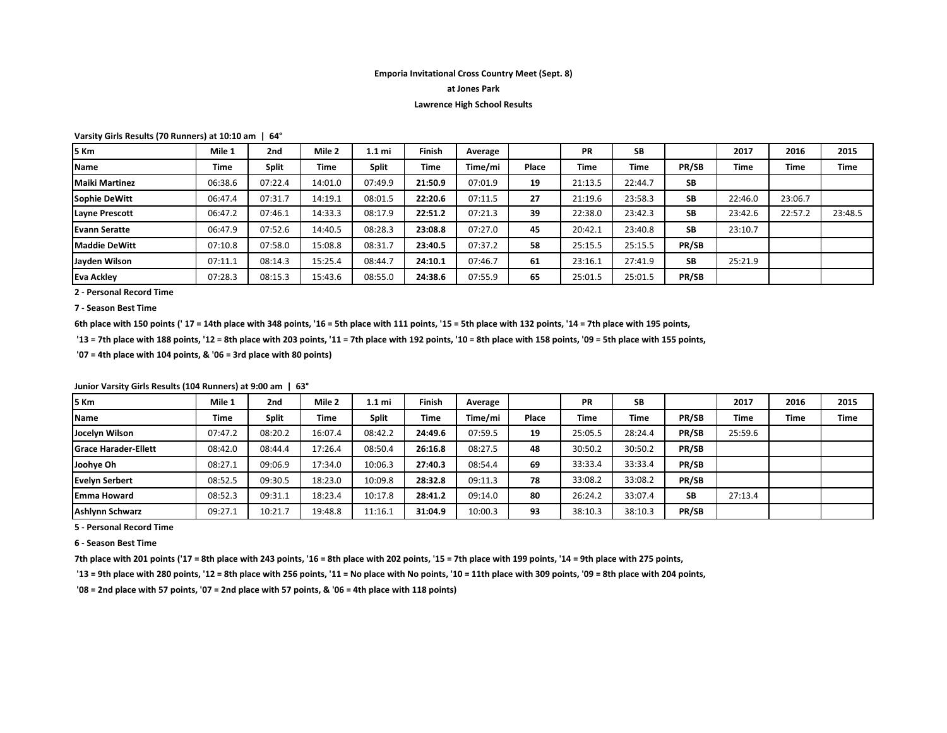## **Emporia Invitational Cross Country Meet (Sept. 8)**

### **at Jones Park**

### **Lawrence High School Results**

**Varsity Girls Results (70 Runners) at 10:10 am | 64°**

| l5 Km                 | Mile 1  | 2nd          | Mile 2      | 1.1 mi       | Finish  | Average |       | <b>PR</b> | <b>SB</b> |           | 2017        | 2016    | 2015    |
|-----------------------|---------|--------------|-------------|--------------|---------|---------|-------|-----------|-----------|-----------|-------------|---------|---------|
| Name                  | Time    | <b>Split</b> | <b>Time</b> | <b>Split</b> | Time    | Time/mi | Place | Time      | Time      | PR/SB     | <b>Time</b> | Time    | Time    |
| <b>Maiki Martinez</b> | 06:38.6 | 07:22.4      | 14:01.0     | 07:49.9      | 21:50.9 | 07:01.9 | 19    | 21:13.5   | 22:44.7   | SB        |             |         |         |
| Sophie DeWitt         | 06:47.4 | 07:31.7      | 14:19.1     | 08:01.5      | 22:20.6 | 07:11.5 | 27    | 21:19.6   | 23:58.3   | <b>SB</b> | 22:46.0     | 23:06.7 |         |
| Layne Prescott        | 06:47.2 | 07:46.1      | 14:33.3     | 08:17.9      | 22:51.2 | 07:21.3 | 39    | 22:38.0   | 23:42.3   | <b>SB</b> | 23:42.6     | 22:57.2 | 23:48.5 |
| Evann Seratte         | 06:47.9 | 07:52.6      | 14:40.5     | 08:28.3      | 23:08.8 | 07:27.0 | 45    | 20:42.1   | 23:40.8   | <b>SB</b> | 23:10.7     |         |         |
| <b>Maddie DeWitt</b>  | 07:10.8 | 07:58.0      | 15:08.8     | 08:31.7      | 23:40.5 | 07:37.2 | 58    | 25:15.5   | 25:15.5   | PR/SB     |             |         |         |
| Jayden Wilson         | 07:11.1 | 08:14.3      | 15:25.4     | 08:44.7      | 24:10.1 | 07:46.7 | 61    | 23:16.1   | 27:41.9   | <b>SB</b> | 25:21.9     |         |         |
| <b>Eva Ackley</b>     | 07:28.3 | 08:15.3      | 15:43.6     | 08:55.0      | 24:38.6 | 07:55.9 | 65    | 25:01.5   | 25:01.5   | PR/SB     |             |         |         |

**2 - Personal Record Time** 

**7 - Season Best Time**

**6th place with 150 points (' 17 = 14th place with 348 points, '16 = 5th place with 111 points, '15 = 5th place with 132 points, '14 = 7th place with 195 points,**

 **'13 = 7th place with 188 points, '12 = 8th place with 203 points, '11 = 7th place with 192 points, '10 = 8th place with 158 points, '09 = 5th place with 155 points,**

 **'07 = 4th place with 104 points, & '06 = 3rd place with 80 points)**

| I5 Km                       | Mile 1      | 2 <sub>nd</sub> | Mile 2      | 1.1 mi       | <b>Finish</b> | Average |              | <b>PR</b> | <b>SB</b>   |       | 2017    | 2016        | 2015        |
|-----------------------------|-------------|-----------------|-------------|--------------|---------------|---------|--------------|-----------|-------------|-------|---------|-------------|-------------|
| <b>Name</b>                 | <b>Time</b> | <b>Split</b>    | <b>Time</b> | <b>Split</b> | <b>Time</b>   | Time/mi | <b>Place</b> | Time      | <b>Time</b> | PR/SB | Time    | <b>Time</b> | <b>Time</b> |
| Jocelyn Wilson              | 07:47.2     | 08:20.2         | 16:07.4     | 08:42.2      | 24:49.6       | 07:59.5 | 19           | 25:05.5   | 28:24.4     | PR/SB | 25:59.6 |             |             |
| <b>Grace Harader-Ellett</b> | 08:42.0     | 08:44.4         | 17:26.4     | 08:50.4      | 26:16.8       | 08:27.5 | 48           | 30:50.2   | 30:50.2     | PR/SB |         |             |             |
| Joohye Oh                   | 08:27.1     | 09:06.9         | 17:34.0     | 10:06.3      | 27:40.3       | 08:54.4 | 69           | 33:33.4   | 33:33.4     | PR/SB |         |             |             |
| <b>Evelyn Serbert</b>       | 08:52.5     | 09:30.5         | 18:23.0     | 10:09.8      | 28:32.8       | 09:11.3 | 78           | 33:08.2   | 33:08.2     | PR/SB |         |             |             |
| <b>IEmma Howard</b>         | 08:52.3     | 09:31.1         | 18:23.4     | 10:17.8      | 28:41.2       | 09:14.0 | 80           | 26:24.2   | 33:07.4     | SB    | 27:13.4 |             |             |
| <b>Ashlynn Schwarz</b>      | 09:27.1     | 10:21.7         | 19:48.8     | 11:16.1      | 31:04.9       | 10:00.3 | 93           | 38:10.3   | 38:10.3     | PR/SB |         |             |             |

**Junior Varsity Girls Results (104 Runners) at 9:00 am | 63°**

**5 - Personal Record Time** 

**6 - Season Best Time**

**7th place with 201 points ('17 = 8th place with 243 points, '16 = 8th place with 202 points, '15 = 7th place with 199 points, '14 = 9th place with 275 points,** 

 **'13 = 9th place with 280 points, '12 = 8th place with 256 points, '11 = No place with No points, '10 = 11th place with 309 points, '09 = 8th place with 204 points,**

 **'08 = 2nd place with 57 points, '07 = 2nd place with 57 points, & '06 = 4th place with 118 points)**